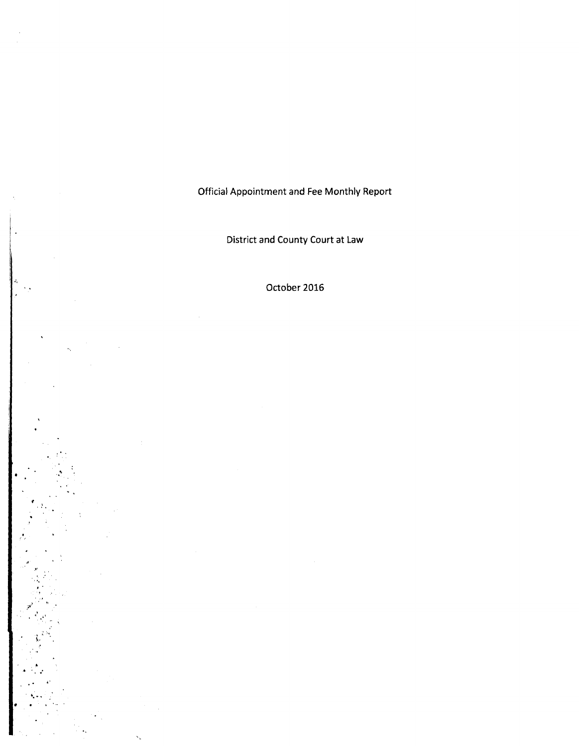Official Appointment and Fee Monthly Report

District and County Court at Law

October 2016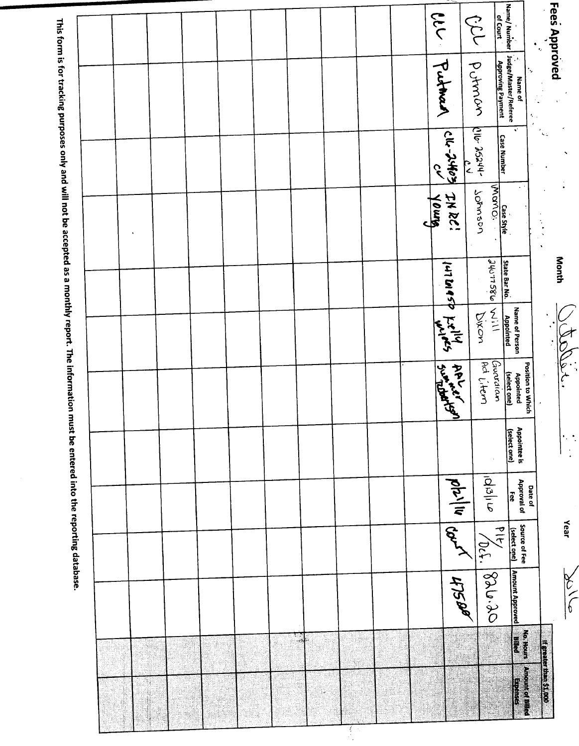| Fees Approved                                                                      | $\gamma_{\vec{k} \vec{u}}$   |                     |                  |                      |                                |                     |                        |                                |                 |                                 | <b>If greater than 51,000</b>           |
|------------------------------------------------------------------------------------|------------------------------|---------------------|------------------|----------------------|--------------------------------|---------------------|------------------------|--------------------------------|-----------------|---------------------------------|-----------------------------------------|
| Name / Number   Judge/Master/Referee<br>Name / Number   Judge/Master/Referee<br>ķ, | ¥.                           |                     |                  | Name of Person       | Position to Which<br>Appointed | <b>Appointee is</b> | Approval of<br>Date of | Source of Fee                  | Amount Approved | <b>Fortion</b><br><b>Bilicd</b> | <b>Amount of Billed</b><br><b>SOLES</b> |
| of Court<br><b>Approving Payment</b>                                               | <b>Case Number</b>           | Case Style<br>MOMO: | State Bar No.    | Appointed            | Guadian<br>(select one)        | (select one)        | ႜႜႜၟ                   | $\frac{d}{dt}$<br>(select one) |                 |                                 |                                         |
| CN<br>potroon                                                                      | Lilo 25244-                  | Johnson             | assume           | $rac{1}{2}$<br>Diron | Adj. Hem                       |                     | oldali                 | 106.1                          | 08.926          |                                 |                                         |
|                                                                                    | $\frac{1}{2}$                |                     |                  |                      |                                |                     | n                      |                                | HTSPP           |                                 | 4                                       |
| live 1<br>Putman 1                                                                 | $\left  \frac{1}{2} \right $ | 7N RC!              | I ut De Pallades |                      | <b>Surgeritary</b>             |                     |                        | And                            |                 |                                 |                                         |
|                                                                                    |                              | amot                |                  |                      |                                |                     |                        |                                |                 |                                 |                                         |
|                                                                                    |                              |                     |                  |                      |                                |                     |                        |                                |                 |                                 |                                         |
|                                                                                    |                              |                     |                  |                      |                                |                     |                        |                                |                 |                                 |                                         |
|                                                                                    |                              |                     |                  |                      |                                |                     |                        |                                |                 |                                 |                                         |
|                                                                                    |                              |                     |                  |                      |                                |                     |                        |                                |                 |                                 |                                         |
|                                                                                    |                              |                     |                  |                      |                                |                     |                        |                                |                 |                                 |                                         |
|                                                                                    |                              |                     |                  |                      |                                |                     |                        |                                |                 |                                 |                                         |
|                                                                                    |                              |                     |                  |                      |                                |                     |                        |                                |                 |                                 |                                         |
|                                                                                    |                              |                     |                  |                      |                                |                     |                        |                                |                 |                                 |                                         |
|                                                                                    |                              |                     |                  |                      |                                |                     |                        |                                |                 |                                 |                                         |
|                                                                                    |                              |                     |                  |                      |                                |                     |                        |                                |                 |                                 |                                         |
|                                                                                    |                              |                     |                  |                      |                                |                     |                        |                                |                 |                                 |                                         |
|                                                                                    |                              |                     |                  |                      |                                |                     |                        |                                |                 |                                 |                                         |
|                                                                                    |                              |                     |                  |                      |                                |                     |                        |                                |                 |                                 |                                         |
|                                                                                    |                              |                     |                  |                      |                                |                     |                        |                                |                 |                                 |                                         |
|                                                                                    |                              |                     |                  |                      |                                |                     |                        |                                |                 |                                 | Ï                                       |
|                                                                                    |                              |                     |                  |                      |                                |                     |                        |                                |                 |                                 |                                         |
|                                                                                    |                              |                     |                  |                      |                                |                     |                        |                                |                 |                                 |                                         |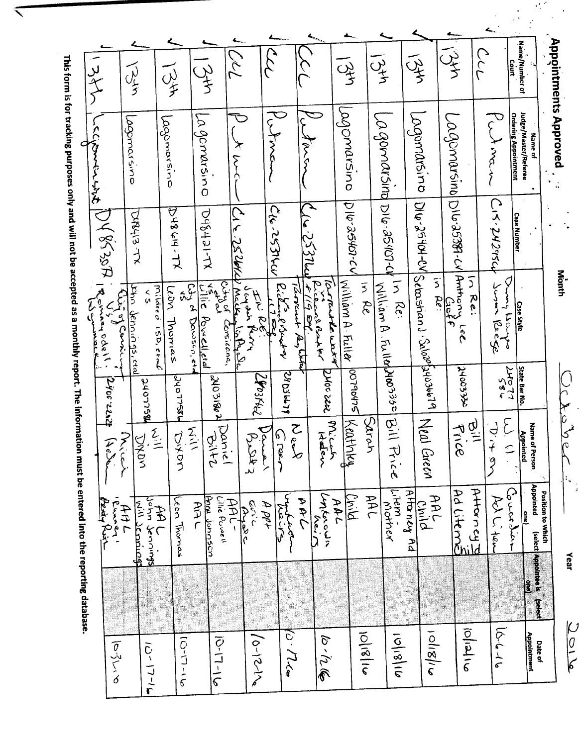|                                                     | ں<br>لا               |                        | لہر<br>مولا                           | じょく                                      |                                                |                                       |                                                                  |                                         |                                   |                                                  | $\frac{1}{3}$      |               | $\sqrt{3}$                        | 一分                                        | نړۍ<br>ک <del>ر</del>                              |                              | Name/Number of<br>Court                                        |                              |
|-----------------------------------------------------|-----------------------|------------------------|---------------------------------------|------------------------------------------|------------------------------------------------|---------------------------------------|------------------------------------------------------------------|-----------------------------------------|-----------------------------------|--------------------------------------------------|--------------------|---------------|-----------------------------------|-------------------------------------------|----------------------------------------------------|------------------------------|----------------------------------------------------------------|------------------------------|
|                                                     | しくさくしょうけ              |                        | agomarsino                            | Lagomarsino                              | La gomarsino                                   |                                       | ᠊ᠸ<br>y<br>S                                                     | $\overline{\zeta}$                      |                                   |                                                  | pagomarsino        |               | La gomarsing Dilo-25407-ch In Re: | Lagamarsino                               | Lagomarsino DIG-25381-CV                           | $\widetilde{\zeta}$<br>token | Judge/Master/Referee<br><b>Ordering Appointment</b><br>Name of | <b>Appointments Approved</b> |
|                                                     | DYRISTA               |                        | DASHS-TX                              | $xL$ -hier sh $G$                        | D43431-TX                                      |                                       | 上のいし                                                             | برباباتى 25 مال                         | $\frac{1}{2550}$                  |                                                  | U-25401-CV         |               |                                   | VJ-AOtSC-DIQ                              |                                                    | CIS.242024                   | Case Number                                                    |                              |
|                                                     | IR cinconstants<br>しり | Wig<br>Sit of Couri    | bhn Jemnings, ctal<br>$\frac{2}{3}$   | mildred<br>ron<br>Thomas<br>$15D,$ $22A$ | $\frac{5^n}{2^n}$<br>Powell.ctd<br>Dawsen, etc | Ashara<br>Particle<br>Corsicona.      | مده سن ک<br><u>McUt</u><br><b>FW RE</b><br>ملاحه باهنا<br>چ<br>م | Richaug Bindray<br>$\mathsf{r}$<br>p    | Tarrent<br>$\rho_{\rm a}$ , Utter | $j_{\alpha}$ rante wa $\lambda$<br>picons Barker | William A. Fuller  | in Re         | Milliam A . Fulldhyloo3330        | Sebostian] . Salaofjulojubil <sup>9</sup> | Anthony<br>$\overline{5}$<br>Lacete<br>Re:<br>لرول | Lumary<br>Suran Reege        | <b>Case Style</b><br>म्<br>रि                                  | Month                        |
| The infor                                           |                       | 2900.22.242            | MSLLOTE                               | 98SLLONC                                 |                                                | <b>HOBIE ONE</b>                      | 240314cl                                                         |                                         | 2403679                           | DNOC 2202                                        | <b>DO790475</b>    |               |                                   |                                           | <b>SEE COOPT</b>                                   | ness<br>LLota                | <b>State Bar No</b>                                            |                              |
|                                                     |                       | mich<br>14.56          | DYDY                                  | 乙三<br>Diton                              | 云三                                             | Saniel<br>211.9                       | $\beta$ Det 3                                                    | احتسبتهم<br>ره زههد                     | Noen                              | Micros                                           | Keathky            | Sarah         | Bill Price                        | Neal Green                                | $\widetilde{q}$<br>Frice                           | しょう                          | $\sum_{i=1}^{n}$<br>Name of Person<br>Appointed                | r<br>İc<br>John              |
| Figure and the entered into the reporting database. | Prody Rui             | ا الحسن جمل<br>المسموم | John Jennings<br><b>Nill Jeroicht</b> | Leon Thomas<br>全<br>先                    | しょ                                             | Anna Jonnsson<br>Lilie Powell<br>AAL- | نځ کړنې<br><u> AyeAC</u>                                         | اسمیدیکس<br>اسلامن<br>$A$ $\rho \rho +$ | ひそん                               | lenterown<br>$\frac{N_{e,i}}{N}$                 | <u>Diid</u><br>AAL | <b>AAL</b>    | Litem -<br>Litem -                | A <del>Haney</del> Ad<br>AAL<br>Child     | Attorney<br>Additeme                               | Ach Li ten                   | Appointed<br><u>شلاء مار</u><br><u>le</u>                      | Position to Which            |
|                                                     |                       |                        |                                       |                                          |                                                |                                       |                                                                  |                                         |                                   |                                                  |                    |               |                                   |                                           |                                                    |                              | (select   Appointee is   (select<br><b>COM</b>                 | Year                         |
|                                                     |                       | ashiva                 | $7 - 1 - 2 = 1$                       |                                          | こうしこ                                           | <b>D-17-16</b>                        | $10-1216$                                                        |                                         | $(\omega^{\prime}/7$ les          | ك رأر (في                                        |                    | $\frac{2}{3}$ | 918101                            | n/2/2                                     | $\frac{1}{2}$                                      | $d - 1 - d$                  | Appointment<br>Date of                                         | DO10                         |

This form is for tracking purposes only and will not be accepted as a monthly report. The information mut

 $\blacktriangleleft$